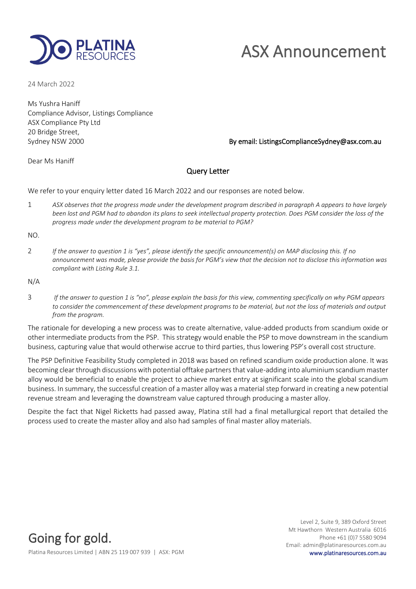

# ASX Announcement

24 March 2022

Ms Yushra Haniff Compliance Advisor, Listings Compliance ASX Compliance Pty Ltd 20 Bridge Street,

## Sydney NSW 2000 **By email: ListingsComplianceSydney@asx.com.au**

Dear Ms Haniff

# Query Letter

We refer to your enquiry letter dated 16 March 2022 and our responses are noted below.

1 *ASX observes that the progress made under the development program described in paragraph A appears to have largely been lost and PGM had to abandon its plans to seek intellectual property protection. Does PGM consider the loss of the progress made under the development program to be material to PGM?*

NO.

2 *If the answer to question 1 is "yes", please identify the specific announcement(s) on MAP disclosing this. If no announcement was made, please provide the basis for PGM's view that the decision not to disclose this information was compliant with Listing Rule 3.1.*

N/A

3 *If the answer to question 1 is "no", please explain the basis for this view, commenting specifically on why PGM appears*  to consider the commencement of these development programs to be material, but not the loss of materials and output *from the program.*

The rationale for developing a new process was to create alternative, value-added products from scandium oxide or other intermediate products from the PSP. This strategy would enable the PSP to move downstream in the scandium business, capturing value that would otherwise accrue to third parties, thus lowering PSP's overall cost structure.

The PSP Definitive Feasibility Study completed in 2018 was based on refined scandium oxide production alone. It was becoming clear through discussions with potential offtake partners that value-adding into aluminium scandium master alloy would be beneficial to enable the project to achieve market entry at significant scale into the global scandium business. In summary, the successful creation of a master alloy was a material step forward in creating a new potential revenue stream and leveraging the downstream value captured through producing a master alloy.

Despite the fact that Nigel Ricketts had passed away, Platina still had a final metallurgical report that detailed the process used to create the master alloy and also had samples of final master alloy materials.

Going for gold. Platina Resources Limited | ABN 25 119 007 939 | ASX: PGM www.platinaresources.com.au

Level 2, Suite 9, 389 Oxford Street Mt Hawthorn Western Australia 6016 Phone +61 (0)7 5580 9094 Email: admin@platinaresources.com.au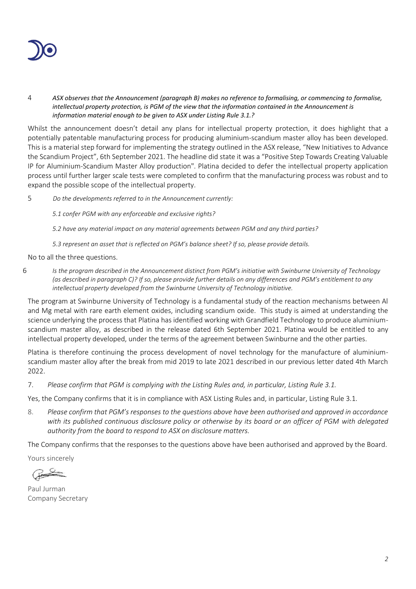

4 *ASX observes that the Announcement (paragraph B) makes no reference to formalising, or commencing to formalise, intellectual property protection, is PGM of the view that the information contained in the Announcement is information material enough to be given to ASX under Listing Rule 3.1.?*

Whilst the announcement doesn't detail any plans for intellectual property protection, it does highlight that a potentially patentable manufacturing process for producing aluminium-scandium master alloy has been developed. This is a material step forward for implementing the strategy outlined in the ASX release, "New Initiatives to Advance the Scandium Project", 6th September 2021. The headline did state it was a "Positive Step Towards Creating Valuable IP for Aluminium-Scandium Master Alloy production". Platina decided to defer the intellectual property application process until further larger scale tests were completed to confirm that the manufacturing process was robust and to expand the possible scope of the intellectual property.

5 *Do the developments referred to in the Announcement currently:*

*5.1 confer PGM with any enforceable and exclusive rights?*

*5.2 have any material impact on any material agreements between PGM and any third parties?*

*5.3 represent an asset that is reflected on PGM's balance sheet? If so, please provide details.*

No to all the three questions.

6 *Is the program described in the Announcement distinct from PGM's initiative with Swinburne University of Technology (as described in paragraph C)? If so, please provide further details on any differences and PGM's entitlement to any intellectual property developed from the Swinburne University of Technology initiative.*

The program at Swinburne University of Technology is a fundamental study of the reaction mechanisms between Al and Mg metal with rare earth element oxides, including scandium oxide. This study is aimed at understanding the science underlying the process that Platina has identified working with Grandfield Technology to produce aluminiumscandium master alloy, as described in the release dated 6th September 2021. Platina would be entitled to any intellectual property developed, under the terms of the agreement between Swinburne and the other parties.

Platina is therefore continuing the process development of novel technology for the manufacture of aluminiumscandium master alloy after the break from mid 2019 to late 2021 described in our previous letter dated 4th March 2022.

7. *Please confirm that PGM is complying with the Listing Rules and, in particular, Listing Rule 3.1.*

Yes, the Company confirms that it is in compliance with ASX Listing Rules and, in particular, Listing Rule 3.1.

8. *Please confirm that PGM's responses to the questions above have been authorised and approved in accordance with its published continuous disclosure policy or otherwise by its board or an officer of PGM with delegated authority from the board to respond to ASX on disclosure matters.*

The Company confirms that the responses to the questions above have been authorised and approved by the Board.

Yours sincerely

Paul Jurman Company Secretary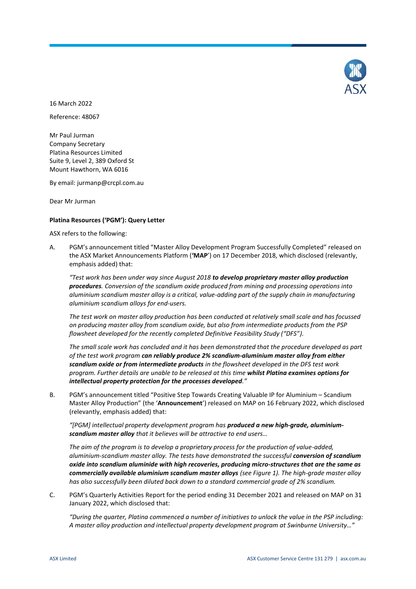

16 March 2022

Reference: 48067

Mr Paul Jurman Company Secretary Platina Resources Limited Suite 9, Level 2, 389 Oxford St Mount Hawthorn, WA 6016

By email: jurmanp@crcpl.com.au

Dear Mr Jurman

## **Platina Resources ('PGM'): Query Letter**

ASX refers to the following:

<span id="page-2-0"></span>A. PGM's announcement titled "Master Alloy Development Program Successfully Completed" released on the ASX Market Announcements Platform (**'MAP**') on 17 December 2018, which disclosed (relevantly, emphasis added) that:

*"Test work has been under way since August 2018 to develop proprietary master alloy production procedures. Conversion of the scandium oxide produced from mining and processing operations into aluminium scandium master alloy is a critical, value-adding part of the supply chain in manufacturing aluminium scandium alloys for end-users.* 

*The test work on master alloy production has been conducted at relatively small scale and has focussed on producing master alloy from scandium oxide, but also from intermediate products from the PSP flowsheet developed for the recently completed Definitive Feasibility Study ("DFS").* 

*The small scale work has concluded and it has been demonstrated that the procedure developed as part of the test work program can reliably produce 2% scandium-aluminium master alloy from either scandium oxide or from intermediate products in the flowsheet developed in the DFS test work program. Further details are unable to be released at this time whilst Platina examines options for intellectual property protection for the processes developed."*

<span id="page-2-1"></span>B. PGM's announcement titled "Positive Step Towards Creating Valuable IP for Aluminium – Scandium Master Alloy Production" (the '**Announcement**') released on MAP on 16 February 2022, which disclosed (relevantly, emphasis added) that:

*"[PGM] intellectual property development program has produced a new high-grade, aluminiumscandium master alloy that it believes will be attractive to end users…*

*The aim of the program is to develop a proprietary process for the production of value-added, aluminium-scandium master alloy. The tests have demonstrated the successful conversion of scandium oxide into scandium aluminide with high recoveries, producing micro-structures that are the same as commercially available aluminium scandium master alloys (see Figure 1). The high-grade master alloy has also successfully been diluted back down to a standard commercial grade of 2% scandium.* 

<span id="page-2-2"></span>C. PGM's Quarterly Activities Report for the period ending 31 December 2021 and released on MAP on 31 January 2022, which disclosed that:

*"During the quarter, Platina commenced a number of initiatives to unlock the value in the PSP including: A master alloy production and intellectual property development program at Swinburne University…"*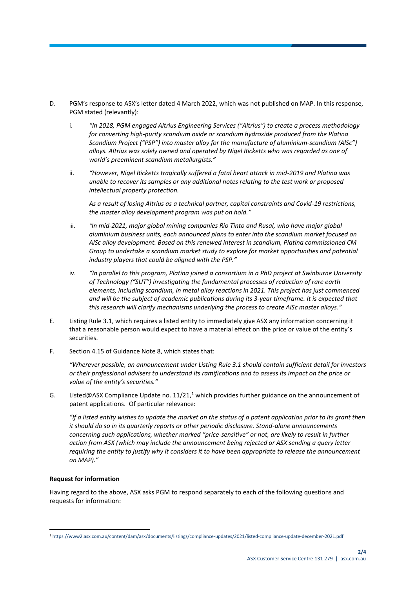- D. PGM's response to ASX's letter dated 4 March 2022, which was not published on MAP. In this response, PGM stated (relevantly):
	- i. *"In 2018, PGM engaged Altrius Engineering Services ("Altrius") to create a process methodology for converting high-purity scandium oxide or scandium hydroxide produced from the Platina Scandium Project ("PSP") into master alloy for the manufacture of aluminium-scandium (AlSc") alloys. Altrius was solely owned and operated by Nigel Ricketts who was regarded as one of world's preeminent scandium metallurgists."*
	- ii. *"However, Nigel Ricketts tragically suffered a fatal heart attack in mid-2019 and Platina was unable to recover its samples or any additional notes relating to the test work or proposed intellectual property protection.*

*As a result of losing Altrius as a technical partner, capital constraints and Covid-19 restrictions, the master alloy development program was put on hold."*

- iii. *"In mid-2021, major global mining companies Rio Tinto and Rusal, who have major global aluminium business units, each announced plans to enter into the scandium market focused on AlSc alloy development. Based on this renewed interest in scandium, Platina commissioned CM Group to undertake a scandium market study to explore for market opportunities and potential industry players that could be aligned with the PSP."*
- iv. *"In parallel to this program, Platina joined a consortium in a PhD project at Swinburne University of Technology ("SUT") investigating the fundamental processes of reduction of rare earth elements, including scandium, in metal alloy reactions in 2021. This project has just commenced and will be the subject of academic publications during its 3-year timeframe. It is expected that this research will clarify mechanisms underlying the process to create AlSc master alloys."*
- E. Listing Rule 3.1, which requires a listed entity to immediately give ASX any information concerning it that a reasonable person would expect to have a material effect on the price or value of the entity's securities.
- F. Section 4.15 of Guidance Note 8, which states that:

*"Wherever possible, an announcement under Listing Rule 3.1 should contain sufficient detail for investors or their professional advisers to understand its ramifications and to assess its impact on the price or value of the entity's securities."*

G. Listed@ASX Compliance Update no.  $11/21$ ,<sup>1</sup> which provides further guidance on the announcement of patent applications. Of particular relevance:

*"If a listed entity wishes to update the market on the status of a patent application prior to its grant then it should do so in its quarterly reports or other periodic disclosure. Stand-alone announcements concerning such applications, whether marked "price-sensitive" or not, are likely to result in further action from ASX (which may include the announcement being rejected or ASX sending a query letter requiring the entity to justify why it considers it to have been appropriate to release the announcement on MAP)."*

## **Request for information**

Having regard to the above, ASX asks PGM to respond separately to each of the following questions and requests for information:

 $\overline{a}$ <sup>1</sup> <https://www2.asx.com.au/content/dam/asx/documents/listings/compliance-updates/2021/listed-compliance-update-december-2021.pdf>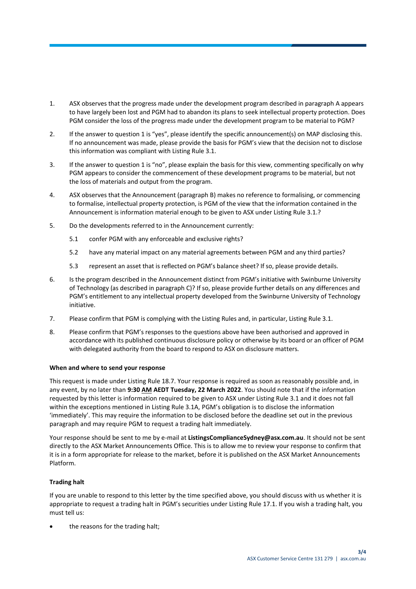- 1. ASX observes that the progress made under the development program described in paragrap[h A](#page-2-0) appears to have largely been lost and PGM had to abandon its plans to seek intellectual property protection. Does PGM consider the loss of the progress made under the development program to be material to PGM?
- 2. If the answer to question 1 is "yes", please identify the specific announcement(s) on MAP disclosing this. If no announcement was made, please provide the basis for PGM's view that the decision not to disclose this information was compliant with Listing Rule 3.1.
- 3. If the answer to question 1 is "no", please explain the basis for this view, commenting specifically on why PGM appears to consider the commencement of these development programs to be material, but not the loss of materials and output from the program.
- 4. ASX observes that the Announcement (paragrap[h B\)](#page-2-1) makes no reference to formalising, or commencing to formalise, intellectual property protection, is PGM of the view that the information contained in the Announcement is information material enough to be given to ASX under Listing Rule 3.1.?
- 5. Do the developments referred to in the Announcement currently:
	- 5.1 confer PGM with any enforceable and exclusive rights?
	- 5.2 have any material impact on any material agreements between PGM and any third parties?
	- 5.3 represent an asset that is reflected on PGM's balance sheet? If so, please provide details.
- 6. Is the program described in the Announcement distinct from PGM's initiative with Swinburne University of Technology (as described in paragrap[h C\)](#page-2-2)? If so, please provide further details on any differences and PGM's entitlement to any intellectual property developed from the Swinburne University of Technology initiative.
- 7. Please confirm that PGM is complying with the Listing Rules and, in particular, Listing Rule 3.1.
- 8. Please confirm that PGM's responses to the questions above have been authorised and approved in accordance with its published continuous disclosure policy or otherwise by its board or an officer of PGM with delegated authority from the board to respond to ASX on disclosure matters.

## **When and where to send your response**

This request is made under Listing Rule 18.7. Your response is required as soon as reasonably possible and, in any event, by no later than **9:30 AM AEDT Tuesday, 22 March 2022**. You should note that if the information requested by this letter is information required to be given to ASX under Listing Rule 3.1 and it does not fall within the exceptions mentioned in Listing Rule 3.1A, PGM's obligation is to disclose the information 'immediately'. This may require the information to be disclosed before the deadline set out in the previous paragraph and may require PGM to request a trading halt immediately.

Your response should be sent to me by e-mail at **ListingsComplianceSydney@asx.com.au**. It should not be sent directly to the ASX Market Announcements Office. This is to allow me to review your response to confirm that it is in a form appropriate for release to the market, before it is published on the ASX Market Announcements Platform.

## **Trading halt**

If you are unable to respond to this letter by the time specified above, you should discuss with us whether it is appropriate to request a trading halt in PGM's securities under Listing Rule 17.1. If you wish a trading halt, you must tell us:

the reasons for the trading halt;